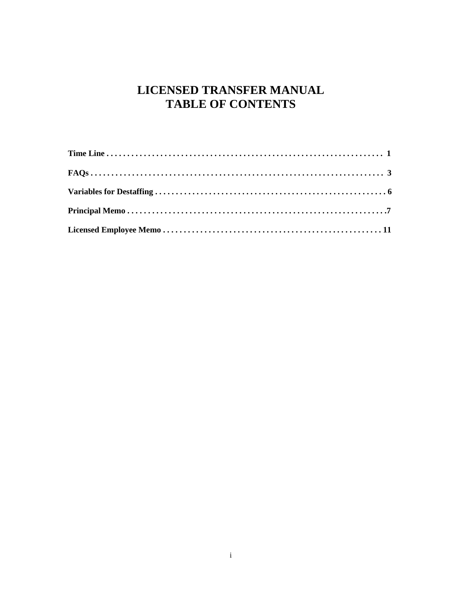# LICENSED TRANSFER MANUAL **TABLE OF CONTENTS**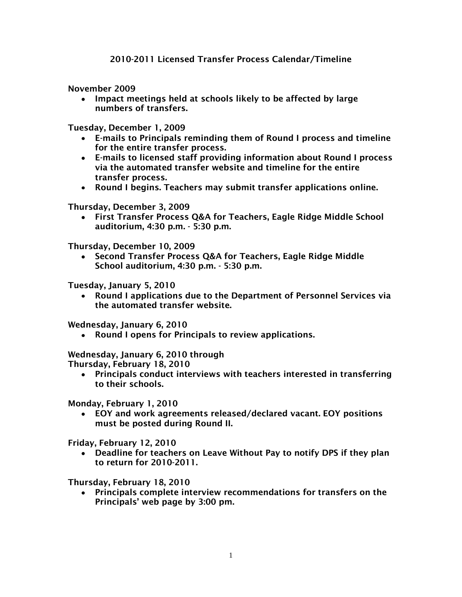**November 2009**

**Impact meetings held at schools likely to be affected by large numbers of transfers.**

**Tuesday, December 1, 2009**

- **E-mails to Principals reminding them of Round I process and timeline for the entire transfer process.**
- **E-mails to licensed staff providing information about Round I process via the automated transfer website and timeline for the entire transfer process.**
- **Round I begins. Teachers may submit transfer applications online.**

**Thursday, December 3, 2009**

**First Transfer Process Q&A for Teachers, Eagle Ridge Middle School auditorium, 4:30 p.m. - 5:30 p.m.** 

**Thursday, December 10, 2009**

**Second Transfer Process Q&A for Teachers, Eagle Ridge Middle School auditorium, 4:30 p.m. - 5:30 p.m.**

**Tuesday, January 5, 2010**

**Round I applications due to the Department of Personnel Services via the automated transfer website.**

**Wednesday, January 6, 2010**

**Round I opens for Principals to review applications.**

**Wednesday, January 6, 2010 through**

**Thursday, February 18, 2010**

**Principals conduct interviews with teachers interested in transferring to their schools.**

**Monday, February 1, 2010**

**EOY and work agreements released/declared vacant. EOY positions must be posted during Round II.**

**Friday, February 12, 2010**

**Deadline for teachers on Leave Without Pay to notify DPS if they plan to return for 2010-2011.**

**Thursday, February 18, 2010**

**Principals complete interview recommendations for transfers on the Principals' web page by 3:00 pm.**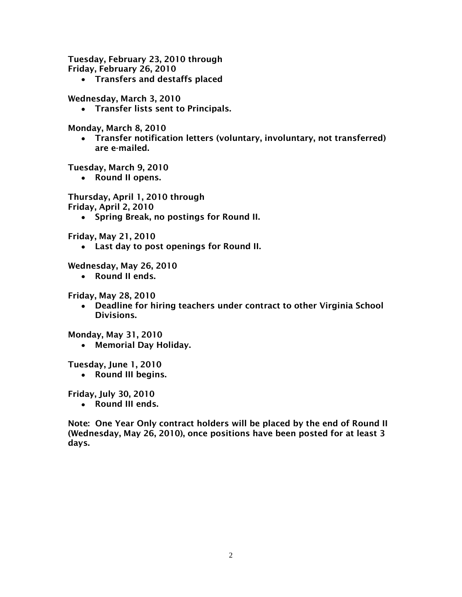**Tuesday, February 23, 2010 through Friday, February 26, 2010**

**Transfers and destaffs placed**

**Wednesday, March 3, 2010**

**Transfer lists sent to Principals.**

**Monday, March 8, 2010**

**Transfer notification letters (voluntary, involuntary, not transferred) are e-mailed.**

**Tuesday, March 9, 2010**

**Round II opens.**

**Thursday, April 1, 2010 through** 

**Friday, April 2, 2010**

**Spring Break, no postings for Round II.**

**Friday, May 21, 2010**

**Last day to post openings for Round II.**

**Wednesday, May 26, 2010**

**Round II ends.**

**Friday, May 28, 2010**

**Deadline for hiring teachers under contract to other Virginia School Divisions.**

**Monday, May 31, 2010**

**Memorial Day Holiday.**

**Tuesday, June 1, 2010**

**Round III begins.**

**Friday, July 30, 2010**

**Round III ends.**

**Note: One Year Only contract holders will be placed by the end of Round II (Wednesday, May 26, 2010), once positions have been posted for at least 3 days.**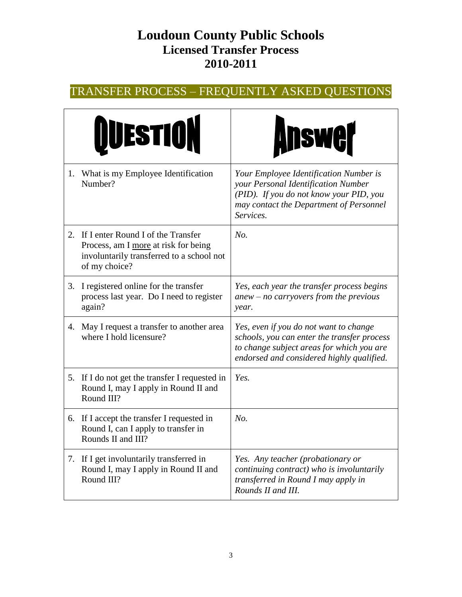# **Loudoun County Public Schools Licensed Transfer Process 2010-2011**

# TRANSFER PROCESS – FREQUENTLY ASKED QUESTIONS

|    | <b>QUESTION</b>                                                                                                                          | <b>Answer</b>                                                                                                                                                                    |
|----|------------------------------------------------------------------------------------------------------------------------------------------|----------------------------------------------------------------------------------------------------------------------------------------------------------------------------------|
|    | 1. What is my Employee Identification<br>Number?                                                                                         | Your Employee Identification Number is<br>your Personal Identification Number<br>(PID). If you do not know your PID, you<br>may contact the Department of Personnel<br>Services. |
| 2. | If I enter Round I of the Transfer<br>Process, am I more at risk for being<br>involuntarily transferred to a school not<br>of my choice? | No.                                                                                                                                                                              |
| 3. | I registered online for the transfer<br>process last year. Do I need to register<br>again?                                               | Yes, each year the transfer process begins<br>$a$ new – no carryovers from the previous<br>year.                                                                                 |
| 4. | May I request a transfer to another area<br>where I hold licensure?                                                                      | Yes, even if you do not want to change<br>schools, you can enter the transfer process<br>to change subject areas for which you are<br>endorsed and considered highly qualified.  |
|    | 5. If I do not get the transfer I requested in<br>Round I, may I apply in Round II and<br>Round III?                                     | Yes.                                                                                                                                                                             |
|    | 6. If I accept the transfer I requested in<br>Round I, can I apply to transfer in<br>Rounds II and III?                                  | No.                                                                                                                                                                              |
|    | 7. If I get involuntarily transferred in<br>Round I, may I apply in Round II and<br>Round III?                                           | Yes. Any teacher (probationary or<br>continuing contract) who is involuntarily<br>transferred in Round I may apply in<br>Rounds II and III.                                      |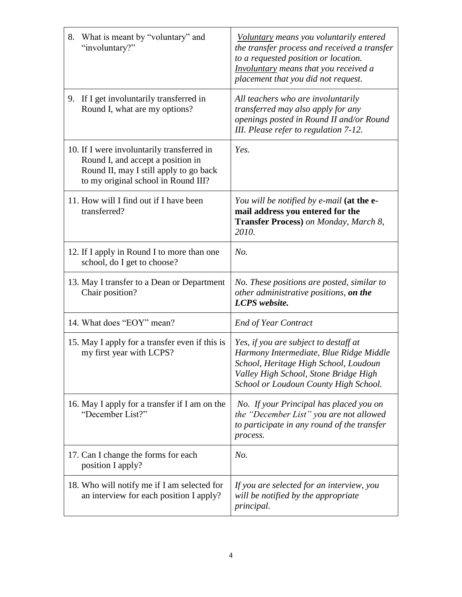| 8. What is meant by "voluntary" and<br>"involuntary?"                                                                                                            | Voluntary means you voluntarily entered<br>the transfer process and received a transfer<br>to a requested position or location.<br>Involuntary means that you received a<br>placement that you did not request. |
|------------------------------------------------------------------------------------------------------------------------------------------------------------------|-----------------------------------------------------------------------------------------------------------------------------------------------------------------------------------------------------------------|
| 9. If I get involuntarily transferred in<br>Round I, what are my options?                                                                                        | All teachers who are involuntarily<br>transferred may also apply for any<br>openings posted in Round II and/or Round<br>III. Please refer to regulation 7-12.                                                   |
| 10. If I were involuntarily transferred in<br>Round I, and accept a position in<br>Round II, may I still apply to go back<br>to my original school in Round III? | Yes.                                                                                                                                                                                                            |
| 11. How will I find out if I have been<br>transferred?                                                                                                           | You will be notified by e-mail (at the e-<br>mail address you entered for the<br><b>Transfer Process)</b> on Monday, March 8,<br>2010.                                                                          |
| 12. If I apply in Round I to more than one<br>school, do I get to choose?                                                                                        | No.                                                                                                                                                                                                             |
| 13. May I transfer to a Dean or Department<br>Chair position?                                                                                                    | No. These positions are posted, similar to<br>other administrative positions, on the<br>LCPS website.                                                                                                           |
| 14. What does "EOY" mean?                                                                                                                                        | <b>End of Year Contract</b>                                                                                                                                                                                     |
| 15. May I apply for a transfer even if this is<br>my first year with LCPS?                                                                                       | Yes, if you are subject to destaff at<br>Harmony Intermediate, Blue Ridge Middle<br>School, Heritage High School, Loudoun<br>Valley High School, Stone Bridge High<br>School or Loudoun County High School.     |
| 16. May I apply for a transfer if I am on the<br>"December List?"                                                                                                | No. If your Principal has placed you on<br>the "December List" you are not allowed<br>to participate in any round of the transfer<br>process.                                                                   |
| 17. Can I change the forms for each<br>position I apply?                                                                                                         | No.                                                                                                                                                                                                             |
| 18. Who will notify me if I am selected for<br>an interview for each position I apply?                                                                           | If you are selected for an interview, you<br>will be notified by the appropriate<br>principal.                                                                                                                  |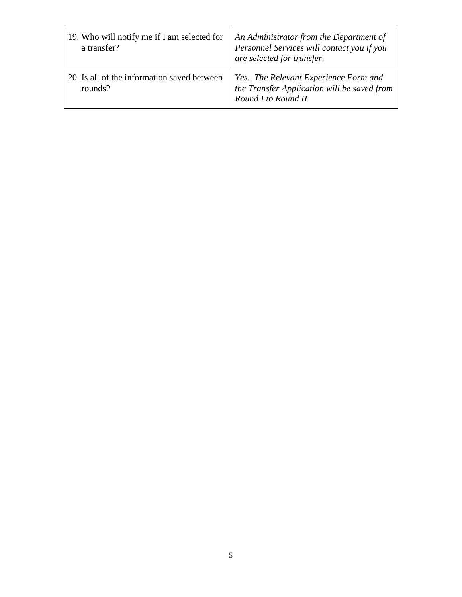| 19. Who will notify me if I am selected for<br>a transfer? | An Administrator from the Department of<br>Personnel Services will contact you if you<br>are selected for transfer. |
|------------------------------------------------------------|---------------------------------------------------------------------------------------------------------------------|
| 20. Is all of the information saved between<br>rounds?     | Yes. The Relevant Experience Form and<br>the Transfer Application will be saved from<br>Round I to Round II.        |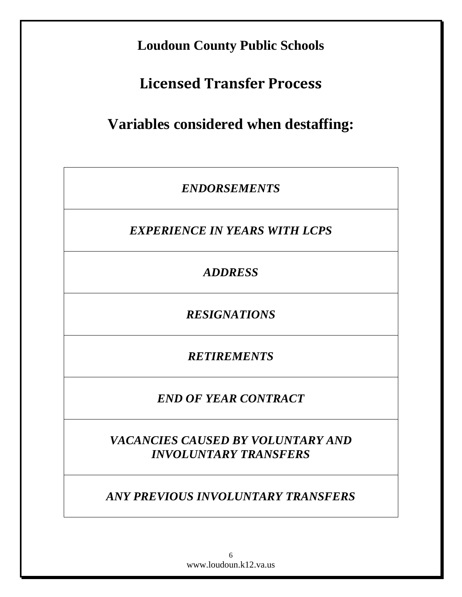**Loudoun County Public Schools**

**Licensed Transfer Process**

**Variables considered when destaffing:**

*ENDORSEMENTS*

*EXPERIENCE IN YEARS WITH LCPS*

*ADDRESS*

*RESIGNATIONS*

*RETIREMENTS*

*END OF YEAR CONTRACT*

*VACANCIES CAUSED BY VOLUNTARY AND INVOLUNTARY TRANSFERS*

*ANY PREVIOUS INVOLUNTARY TRANSFERS*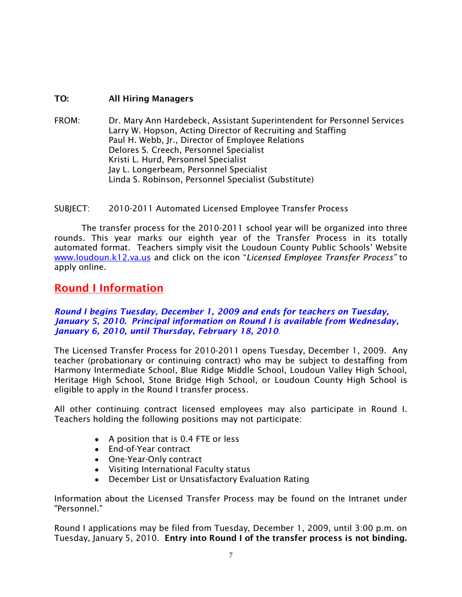### **TO: All Hiring Managers**

FROM: Dr. Mary Ann Hardebeck, Assistant Superintendent for Personnel Services Larry W. Hopson, Acting Director of Recruiting and Staffing Paul H. Webb, Jr., Director of Employee Relations Delores S. Creech, Personnel Specialist Kristi L. Hurd, Personnel Specialist Jay L. Longerbeam, Personnel Specialist Linda S. Robinson, Personnel Specialist (Substitute)

SUBJECT: 2010-2011 Automated Licensed Employee Transfer Process

The transfer process for the 2010-2011 school year will be organized into three rounds. This year marks our eighth year of the Transfer Process in its totally automated format. Teachers simply visit the Loudoun County Public Schools' Website [www.loudoun.k12.va.us](http://www.loudoun.k12.va.us/) and click on the icon "*Licensed Employee Transfer Process"* to apply online.

# **Round I Information**

#### *Round I begins Tuesday, December 1, 2009 and ends for teachers on Tuesday, January 5, 2010***.** *Principal information on Round I is available from Wednesday, January 6, 2010, until Thursday, February 18, 2010.*

The Licensed Transfer Process for 2010-2011 opens Tuesday, December 1, 2009. Any teacher (probationary or continuing contract) who may be subject to destaffing from Harmony Intermediate School, Blue Ridge Middle School, Loudoun Valley High School, Heritage High School, Stone Bridge High School, or Loudoun County High School is eligible to apply in the Round I transfer process.

All other continuing contract licensed employees may also participate in Round I. Teachers holding the following positions may not participate:

- A position that is 0.4 FTE or less
- End-of-Year contract
- One-Year-Only contract
- Visiting International Faculty status
- December List or Unsatisfactory Evaluation Rating

Information about the Licensed Transfer Process may be found on the Intranet under "Personnel."

Round I applications may be filed from Tuesday, December 1, 2009, until 3:00 p.m. on Tuesday, January 5, 2010. **Entry into Round I of the transfer process is not binding.**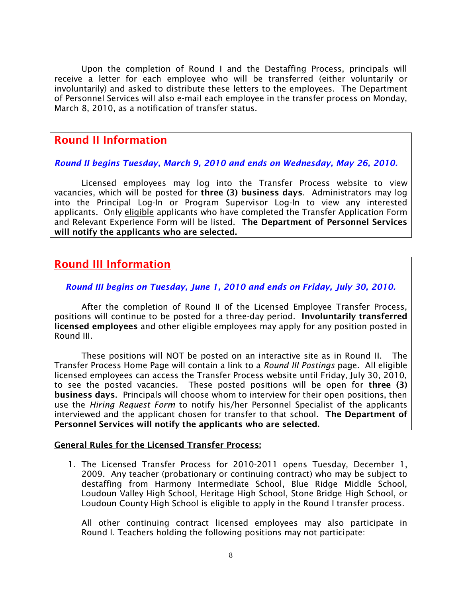Upon the completion of Round I and the Destaffing Process, principals will receive a letter for each employee who will be transferred (either voluntarily or involuntarily) and asked to distribute these letters to the employees. The Department of Personnel Services will also e-mail each employee in the transfer process on Monday, March 8, 2010, as a notification of transfer status.

# **Round II Information**

### *Round II begins Tuesday, March 9, 2010 and ends on Wednesday, May 26, 2010.*

Licensed employees may log into the Transfer Process website to view vacancies, which will be posted for **three (3) business days**. Administrators may log into the Principal Log-In or Program Supervisor Log-In to view any interested applicants. Only eligible applicants who have completed the Transfer Application Form and Relevant Experience Form will be listed. **The Department of Personnel Services will notify the applicants who are selected.**

# **Round III Information**

### *Round III begins on Tuesday, June 1, 2010 and ends on Friday, July 30, 2010.*

After the completion of Round II of the Licensed Employee Transfer Process, positions will continue to be posted for a three-day period. **Involuntarily transferred licensed employees** and other eligible employees may apply for any position posted in Round III.

These positions will NOT be posted on an interactive site as in Round II. The Transfer Process Home Page will contain a link to a *Round III Postings* page. All eligible licensed employees can access the Transfer Process website until Friday, July 30, 2010, to see the posted vacancies. These posted positions will be open for **three (3) business days**. Principals will choose whom to interview for their open positions, then use the *Hiring Request Form* to notify his/her Personnel Specialist of the applicants interviewed and the applicant chosen for transfer to that school. **The Department of Personnel Services will notify the applicants who are selected.**

#### **General Rules for the Licensed Transfer Process:**

1. The Licensed Transfer Process for 2010-2011 opens Tuesday, December 1, 2009. Any teacher (probationary or continuing contract) who may be subject to destaffing from Harmony Intermediate School, Blue Ridge Middle School, Loudoun Valley High School, Heritage High School, Stone Bridge High School, or Loudoun County High School is eligible to apply in the Round I transfer process.

All other continuing contract licensed employees may also participate in Round I. Teachers holding the following positions may not participate: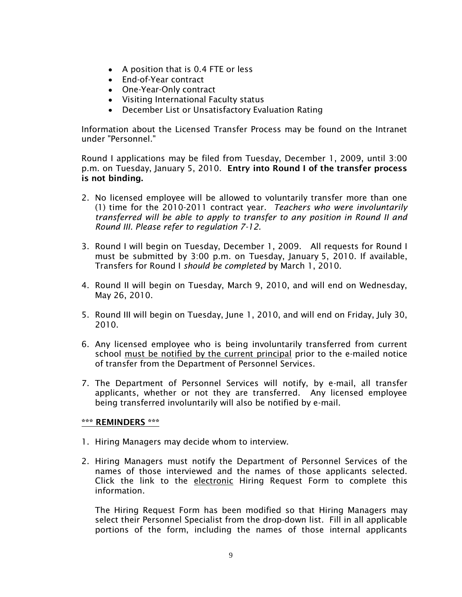- A position that is 0.4 FTE or less
- End-of-Year contract
- One-Year-Only contract
- Visiting International Faculty status
- December List or Unsatisfactory Evaluation Rating

Information about the Licensed Transfer Process may be found on the Intranet under "Personnel."

Round I applications may be filed from Tuesday, December 1, 2009, until 3:00 p.m. on Tuesday, January 5, 2010. **Entry into Round I of the transfer process is not binding.**

- 2. No licensed employee will be allowed to voluntarily transfer more than one (1) time for the 2010-2011 contract year. *Teachers who were involuntarily transferred will be able to apply to transfer to any position in Round II and Round III. Please refer to regulation 7-12.*
- 3. Round I will begin on Tuesday, December 1, 2009. All requests for Round I must be submitted by 3:00 p.m. on Tuesday, January 5, 2010. If available, Transfers for Round I *should be completed* by March 1, 2010.
- 4. Round II will begin on Tuesday, March 9, 2010, and will end on Wednesday, May 26, 2010.
- 5. Round III will begin on Tuesday, June 1, 2010, and will end on Friday, July 30, 2010.
- 6. Any licensed employee who is being involuntarily transferred from current school must be notified by the current principal prior to the e-mailed notice of transfer from the Department of Personnel Services.
- 7. The Department of Personnel Services will notify, by e-mail, all transfer applicants, whether or not they are transferred. Any licensed employee being transferred involuntarily will also be notified by e-mail.

#### **\*\*\* REMINDERS \*\*\***

- 1. Hiring Managers may decide whom to interview.
- 2. Hiring Managers must notify the Department of Personnel Services of the names of those interviewed and the names of those applicants selected. Click the link to the electronic Hiring Request Form to complete this information.

The Hiring Request Form has been modified so that Hiring Managers may select their Personnel Specialist from the drop-down list. Fill in all applicable portions of the form, including the names of those internal applicants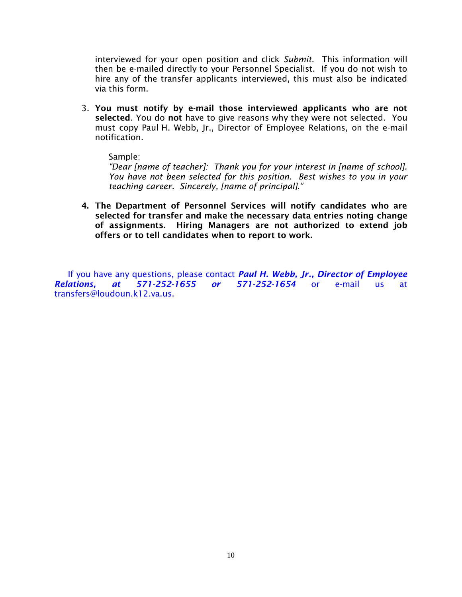interviewed for your open position and click *Submit*.This information will then be e-mailed directly to your Personnel Specialist. If you do not wish to hire any of the transfer applicants interviewed, this must also be indicated via this form.

3. **You must notify by e-mail those interviewed applicants who are not selected**. You do **not** have to give reasons why they were not selected. You must copy Paul H. Webb, Jr., Director of Employee Relations, on the e-mail notification.

Sample:

*"Dear [name of teacher]: Thank you for your interest in [name of school]. You have not been selected for this position. Best wishes to you in your teaching career. Sincerely, [name of principal]."*

**4. The Department of Personnel Services will notify candidates who are selected for transfer and make the necessary data entries noting change of assignments. Hiring Managers are not authorized to extend job offers or to tell candidates when to report to work.**

If you have any questions, please contact *Paul H. Webb, Jr., Director of Employee Relations, at 571-252-1655 or 571-252-1654* or e-mail us at transfers@loudoun.k12.va.us.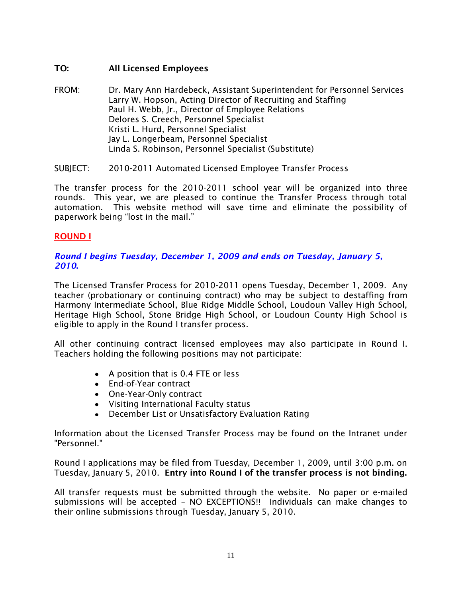## **TO: All Licensed Employees**

- FROM: Dr. Mary Ann Hardebeck, Assistant Superintendent for Personnel Services Larry W. Hopson, Acting Director of Recruiting and Staffing Paul H. Webb, Jr., Director of Employee Relations Delores S. Creech, Personnel Specialist Kristi L. Hurd, Personnel Specialist Jay L. Longerbeam, Personnel Specialist Linda S. Robinson, Personnel Specialist (Substitute)
- SUBJECT: 2010-2011 Automated Licensed Employee Transfer Process

The transfer process for the 2010-2011 school year will be organized into three rounds. This year, we are pleased to continue the Transfer Process through total automation. This website method will save time and eliminate the possibility of paperwork being "lost in the mail."

# **ROUND I**

### *Round I begins Tuesday, December 1, 2009 and ends on Tuesday, January 5, 2010***.**

The Licensed Transfer Process for 2010-2011 opens Tuesday, December 1, 2009. Any teacher (probationary or continuing contract) who may be subject to destaffing from Harmony Intermediate School, Blue Ridge Middle School, Loudoun Valley High School, Heritage High School, Stone Bridge High School, or Loudoun County High School is eligible to apply in the Round I transfer process.

All other continuing contract licensed employees may also participate in Round I. Teachers holding the following positions may not participate:

- A position that is 0.4 FTE or less
- End-of-Year contract
- One-Year-Only contract
- Visiting International Faculty status
- December List or Unsatisfactory Evaluation Rating

Information about the Licensed Transfer Process may be found on the Intranet under "Personnel."

Round I applications may be filed from Tuesday, December 1, 2009, until 3:00 p.m. on Tuesday, January 5, 2010. **Entry into Round I of the transfer process is not binding.**

All transfer requests must be submitted through the website. No paper or e-mailed submissions will be accepted – NO EXCEPTIONS!! Individuals can make changes to their online submissions through Tuesday, January 5, 2010.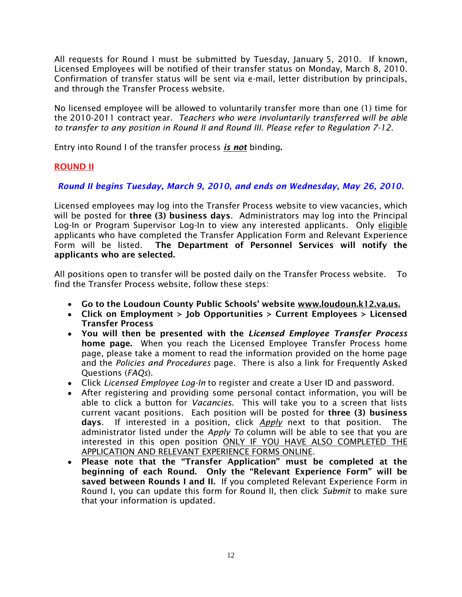All requests for Round I must be submitted by Tuesday, January 5, 2010. If known, Licensed Employees will be notified of their transfer status on Monday, March 8, 2010. Confirmation of transfer status will be sent via e-mail, letter distribution by principals, and through the Transfer Process website.

No licensed employee will be allowed to voluntarily transfer more than one (1) time for the 2010-2011 contract year. *Teachers who were involuntarily transferred will be able to transfer to any position in Round II and Round III. Please refer to Regulation 7-12.* 

Entry into Round I of the transfer process *is not* binding**.**

## **ROUND II**

## *Round II begins Tuesday, March 9, 2010, and ends on Wednesday, May 26, 2010.*

Licensed employees may log into the Transfer Process website to view vacancies, which will be posted for **three (3) business days**. Administrators may log into the Principal Log-In or Program Supervisor Log-In to view any interested applicants. Only eligible applicants who have completed the Transfer Application Form and Relevant Experience Form will be listed. **The Department of Personnel Services will notify the applicants who are selected.**

All positions open to transfer will be posted daily on the Transfer Process website. To find the Transfer Process website, follow these steps:

- **Go to the Loudoun County Public Schools' website www.loudoun.k12.va.us.**
- **Click on Employment > Job Opportunities > Current Employees > Licensed Transfer Process**
- **You will then be presented with the** *Licensed Employee Transfer Process* **home page.** When you reach the Licensed Employee Transfer Process home page, please take a moment to read the information provided on the home page and the *Policies and Procedures* page. There is also a link for Frequently Asked Questions (*FAQs*).
- Click *Licensed Employee Log-In* to register and create a User ID and password.
- After registering and providing some personal contact information, you will be able to click a button for *Vacancies*. This will take you to a screen that lists current vacant positions. Each position will be posted for **three (3) business days**. If interested in a position, click *Apply* next to that position. The administrator listed under the *Apply To* column will be able to see that you are interested in this open position ONLY IF YOU HAVE ALSO COMPLETED THE APPLICATION AND RELEVANT EXPERIENCE FORMS ONLINE.
- **Please note that the "Transfer Application" must be completed at the beginning of each Round. Only the "Relevant Experience Form" will be saved between Rounds I and II.** If you completed Relevant Experience Form in Round I, you can update this form for Round II, then click *Submit* to make sure that your information is updated.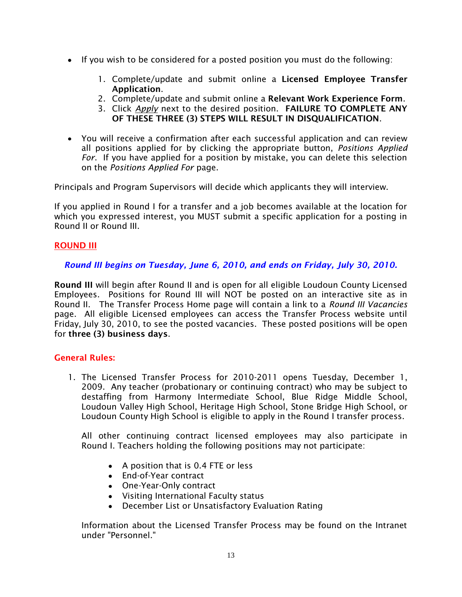- If you wish to be considered for a posted position you must do the following:
	- 1. Complete/update and submit online a **Licensed Employee Transfer Application**.
	- 2. Complete/update and submit online a **Relevant Work Experience Form**.
	- 3. Click *Apply* next to the desired position. **FAILURE TO COMPLETE ANY OF THESE THREE (3) STEPS WILL RESULT IN DISQUALIFICATION**.
- You will receive a confirmation after each successful application and can review all positions applied for by clicking the appropriate button, *Positions Applied For*. If you have applied for a position by mistake, you can delete this selection on the *Positions Applied For* page.

Principals and Program Supervisors will decide which applicants they will interview.

If you applied in Round I for a transfer and a job becomes available at the location for which you expressed interest, you MUST submit a specific application for a posting in Round II or Round III.

#### **ROUND III**

#### *Round III begins on Tuesday, June 6, 2010, and ends on Friday, July 30, 2010.*

**Round III** will begin after Round II and is open for all eligible Loudoun County Licensed Employees. Positions for Round III will NOT be posted on an interactive site as in Round II. The Transfer Process Home page will contain a link to a *Round III Vacancies*  page. All eligible Licensed employees can access the Transfer Process website until Friday, July 30, 2010, to see the posted vacancies. These posted positions will be open for **three (3) business days**.

#### **General Rules:**

1. The Licensed Transfer Process for 2010-2011 opens Tuesday, December 1, 2009. Any teacher (probationary or continuing contract) who may be subject to destaffing from Harmony Intermediate School, Blue Ridge Middle School, Loudoun Valley High School, Heritage High School, Stone Bridge High School, or Loudoun County High School is eligible to apply in the Round I transfer process.

All other continuing contract licensed employees may also participate in Round I. Teachers holding the following positions may not participate:

- A position that is 0.4 FTE or less
- End-of-Year contract
- One-Year-Only contract
- Visiting International Faculty status
- $\bullet$ December List or Unsatisfactory Evaluation Rating

Information about the Licensed Transfer Process may be found on the Intranet under "Personnel."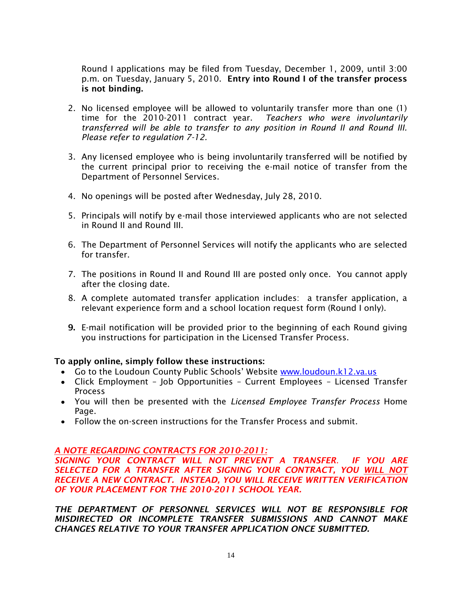Round I applications may be filed from Tuesday, December 1, 2009, until 3:00 p.m. on Tuesday, January 5, 2010. **Entry into Round I of the transfer process is not binding.**

- 2. No licensed employee will be allowed to voluntarily transfer more than one (1) time for the 2010-2011 contract year. *Teachers who were involuntarily transferred will be able to transfer to any position in Round II and Round III. Please refer to regulation 7-12.*
- 3. Any licensed employee who is being involuntarily transferred will be notified by the current principal prior to receiving the e-mail notice of transfer from the Department of Personnel Services.
- 4. No openings will be posted after Wednesday, July 28, 2010.
- 5. Principals will notify by e-mail those interviewed applicants who are not selected in Round II and Round III.
- 6. The Department of Personnel Services will notify the applicants who are selected for transfer.
- 7. The positions in Round II and Round III are posted only once. You cannot apply after the closing date.
- 8. A complete automated transfer application includes: a transfer application, a relevant experience form and a school location request form (Round I only).
- **9.** E-mail notification will be provided prior to the beginning of each Round giving you instructions for participation in the Licensed Transfer Process.

#### **To apply online, simply follow these instructions:**

- Go to the Loudoun County Public Schools' Website [www.loudoun.k12.va.us](http://www.loudoun.k12.va.us/)
- Click Employment Job Opportunities Current Employees Licensed Transfer Process
- You will then be presented with the *Licensed Employee Transfer Process* Home Page.
- Follow the on-screen instructions for the Transfer Process and submit.

## *A NOTE REGARDING CONTRACTS FOR 2010-2011:*

*SIGNING YOUR CONTRACT WILL NOT PREVENT A TRANSFER. IF YOU ARE SELECTED FOR A TRANSFER AFTER SIGNING YOUR CONTRACT, YOU WILL NOT RECEIVE A NEW CONTRACT. INSTEAD, YOU WILL RECEIVE WRITTEN VERIFICATION OF YOUR PLACEMENT FOR THE 2010-2011 SCHOOL YEAR.*

*THE DEPARTMENT OF PERSONNEL SERVICES WILL NOT BE RESPONSIBLE FOR MISDIRECTED OR INCOMPLETE TRANSFER SUBMISSIONS AND CANNOT MAKE CHANGES RELATIVE TO YOUR TRANSFER APPLICATION ONCE SUBMITTED.*